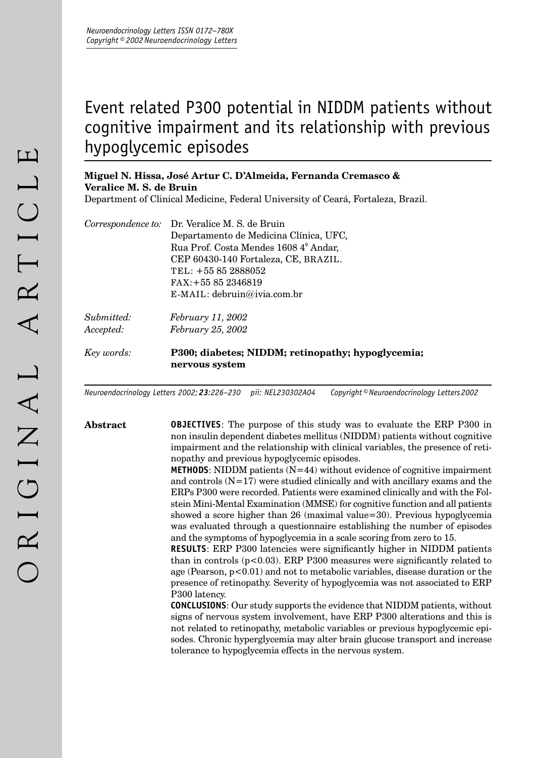# Event related P300 potential in NIDDM patients without cognitive impairment and its relationship with previous hypoglycemic episodes

**Miguel N. Hissa, José Artur C. D'Almeida, Fernanda Cremasco & Veralice M. S. de Bruin**

Department of Clinical Medicine, Federal University of Ceará, Fortaleza, Brazil.

|            | Correspondence to: Dr. Veralice M. S. de Bruin                      |  |
|------------|---------------------------------------------------------------------|--|
|            | Departamento de Medicina Clínica, UFC,                              |  |
|            | Rua Prof. Costa Mendes 1608 4 <sup>°</sup> Andar,                   |  |
|            | CEP 60430-140 Fortaleza, CE, BRAZIL.                                |  |
|            | $TEL: +5585288052$                                                  |  |
|            | $FAX: +55852346819$                                                 |  |
|            | E-MAIL: $debruin@ivia.com.br$                                       |  |
| Submitted: | <i>February 11, 2002</i>                                            |  |
| Accepted:  | February 25, 2002                                                   |  |
| Key words: | P300; diabetes; NIDDM; retinopathy; hypoglycemia;<br>nervous system |  |

*Neuroendocrinology Letters 2002; 23:226–230 pii: NEL230302A04 Copyright © Neuroendocrinology Letters 2002*

**Abstract OBJECTIVES**: The purpose of this study was to evaluate the ERP P300 in non insulin dependent diabetes mellitus (NIDDM) patients without cognitive impairment and the relationship with clinical variables, the presence of retinopathy and previous hypoglycemic episodes.

> **METHODS**: NIDDM patients  $(N=44)$  without evidence of cognitive impairment and controls  $(N=17)$  were studied clinically and with ancillary exams and the ERPs P300 were recorded. Patients were examined clinically and with the Folstein Mini-Mental Examination (MMSE) for cognitive function and all patients showed a score higher than 26 (maximal value=30). Previous hypoglycemia was evaluated through a questionnaire establishing the number of episodes and the symptoms of hypoglycemia in a scale scoring from zero to 15.

> **RESULTS**: ERP P300 latencies were significantly higher in NIDDM patients than in controls  $(p<0.03)$ . ERP P300 measures were significantly related to age (Pearson,  $p < 0.01$ ) and not to metabolic variables, disease duration or the presence of retinopathy. Severity of hypoglycemia was not associated to ERP P300 latency.

> **CONCLUSIONS**: Our study supports the evidence that NIDDM patients, without signs of nervous system involvement, have ERP P300 alterations and this is not related to retinopathy, metabolic variables or previous hypoglycemic episodes. Chronic hyperglycemia may alter brain glucose transport and increase tolerance to hypoglycemia effects in the nervous system.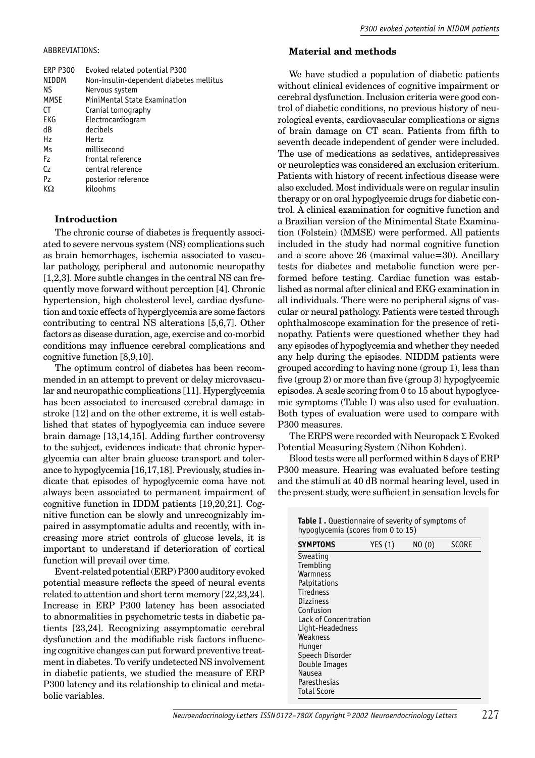#### ABBREVIATIONS:

| <b>ERP P300</b> | Evoked related potential P300           |
|-----------------|-----------------------------------------|
| NIDDM           | Non-insulin-dependent diabetes mellitus |
| ΝS              | Nervous system                          |
| MMSF            | MiniMental State Examination            |
| СT              | Cranial tomography                      |
| EKG             | Electrocardiogram                       |
| dB              | decibels                                |
| Hz              | Hertz                                   |
| Ms              | millisecond                             |
| Fz.             | frontal reference                       |
| Cз              | central reference                       |
| Pz              | posterior reference                     |
| KΩ              | kiloohms                                |

### **Introduction**

The chronic course of diabetes is frequently associated to severe nervous system (NS) complications such as brain hemorrhages, ischemia associated to vascular pathology, peripheral and autonomic neuropathy [1,2,3]. More subtle changes in the central NS can frequently move forward without perception [4]. Chronic hypertension, high cholesterol level, cardiac dysfunction and toxic effects of hyperglycemia are some factors contributing to central NS alterations [5,6,7]. Other factors as disease duration, age, exercise and co-morbid conditions may influence cerebral complications and cognitive function [8,9,10].

The optimum control of diabetes has been recommended in an attempt to prevent or delay microvascular and neuropathic complications [11]. Hyperglycemia has been associated to increased cerebral damage in stroke [12] and on the other extreme, it is well established that states of hypoglycemia can induce severe brain damage [13,14,15]. Adding further controversy to the subject, evidences indicate that chronic hyperglycemia can alter brain glucose transport and tolerance to hypoglycemia [16,17,18]. Previously, studies indicate that episodes of hypoglycemic coma have not always been associated to permanent impairment of cognitive function in IDDM patients [19,20,21]. Cognitive function can be slowly and unrecognizably impaired in assymptomatic adults and recently, with increasing more strict controls of glucose levels, it is important to understand if deterioration of cortical function will prevail over time.

Event-related potential (ERP) P300 auditory evoked potential measure reflects the speed of neural events related to attention and short term memory [22,23,24]. Increase in ERP P300 latency has been associated to abnormalities in psychometric tests in diabetic patients [23,24]. Recognizing assymptomatic cerebral dysfunction and the modifiable risk factors influencing cognitive changes can put forward preventive treatment in diabetes. To verify undetected NS involvement in diabetic patients, we studied the measure of ERP P300 latency and its relationship to clinical and metabolic variables.

### **Material and methods**

We have studied a population of diabetic patients without clinical evidences of cognitive impairment or cerebral dysfunction. Inclusion criteria were good control of diabetic conditions, no previous history of neurological events, cardiovascular complications or signs of brain damage on CT scan. Patients from fifth to seventh decade independent of gender were included. The use of medications as sedatives, antidepressives or neuroleptics was considered an exclusion criterium. Patients with history of recent infectious disease were also excluded. Most individuals were on regular insulin therapy or on oral hypoglycemic drugs for diabetic control. A clinical examination for cognitive function and a Brazilian version of the Minimental State Examination (Folstein) (MMSE) were performed. All patients included in the study had normal cognitive function and a score above 26 (maximal value=30). Ancillary tests for diabetes and metabolic function were performed before testing. Cardiac function was established as normal after clinical and EKG examination in all individuals. There were no peripheral signs of vascular or neural pathology. Patients were tested through ophthalmoscope examination for the presence of retinopathy. Patients were questioned whether they had any episodes of hypoglycemia and whether they needed any help during the episodes. NIDDM patients were grouped according to having none (group 1), less than five (group 2) or more than five (group 3) hypoglycemic episodes. A scale scoring from 0 to 15 about hypoglycemic symptoms (Table I) was also used for evaluation. Both types of evaluation were used to compare with P300 measures.

The ERPS were recorded with Neuropack Σ Evoked Potential Measuring System (Nihon Kohden).

Blood tests were all performed within 8 days of ERP P300 measure. Hearing was evaluated before testing and the stimuli at 40 dB normal hearing level, used in the present study, were sufficient in sensation levels for

| hypoglycemia (scores from 0 to 15) |        |       |              |  |  |
|------------------------------------|--------|-------|--------------|--|--|
| <b>SYMPTOMS</b>                    | YES(1) | NO(0) | <b>SCORE</b> |  |  |
| Sweating                           |        |       |              |  |  |
| Trembling                          |        |       |              |  |  |
| Warmness                           |        |       |              |  |  |
| Palpitations                       |        |       |              |  |  |
| <b>Tiredness</b>                   |        |       |              |  |  |
| Dizziness                          |        |       |              |  |  |
| Confusion                          |        |       |              |  |  |
| Lack of Concentration              |        |       |              |  |  |
| Light-Headedness                   |        |       |              |  |  |
| Weakness                           |        |       |              |  |  |
| Hunger                             |        |       |              |  |  |
| Speech Disorder                    |        |       |              |  |  |
| Double Images                      |        |       |              |  |  |
| Nausea                             |        |       |              |  |  |
| Paresthesias                       |        |       |              |  |  |
| <b>Total Score</b>                 |        |       |              |  |  |

**Table I .** Questionnaire of severity of symptoms of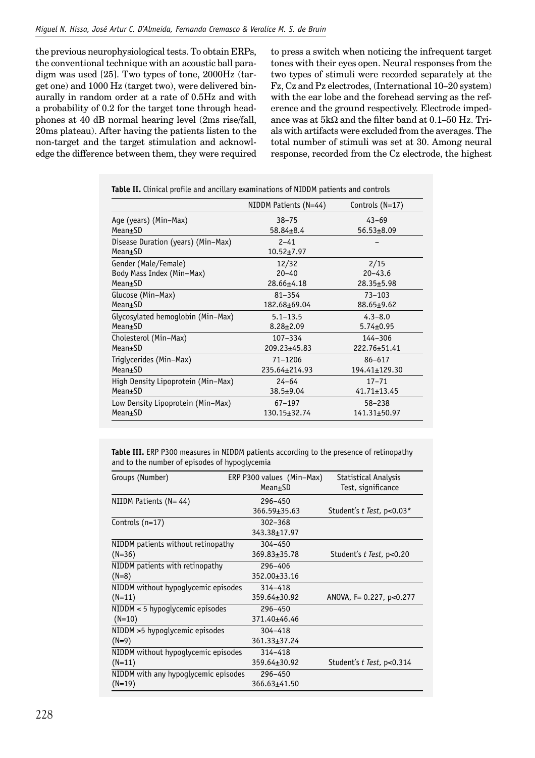the previous neurophysiological tests. To obtain ERPs, the conventional technique with an acoustic ball paradigm was used [25]. Two types of tone, 2000Hz (target one) and 1000 Hz (target two), were delivered binaurally in random order at a rate of 0.5Hz and with a probability of 0.2 for the target tone through headphones at 40 dB normal hearing level (2ms rise/fall, 20ms plateau). After having the patients listen to the non-target and the target stimulation and acknowledge the difference between them, they were required to press a switch when noticing the infrequent target tones with their eyes open. Neural responses from the two types of stimuli were recorded separately at the Fz, Cz and Pz electrodes, (International 10–20 system) with the ear lobe and the forehead serving as the reference and the ground respectively. Electrode impedance was at  $5k\Omega$  and the filter band at 0.1–50 Hz. Trials with artifacts were excluded from the averages. The total number of stimuli was set at 30. Among neural response, recorded from the Cz electrode, the highest

|                                    | NIDDM Patients (N=44) | Controls (N=17)   |
|------------------------------------|-----------------------|-------------------|
| Age (years) (Min-Max)              | $38 - 75$             | $43 - 69$         |
| Mean±SD                            | $58.84 \pm 8.4$       | $56.53 \pm 8.09$  |
| Disease Duration (years) (Min-Max) | $2 - 41$              |                   |
| Mean+SD                            | $10.52 \pm 7.97$      |                   |
| Gender (Male/Female)               | 12/32                 | 2/15              |
| Body Mass Index (Min-Max)          | $20 - 40$             | $20 - 43.6$       |
| Mean±SD                            | 28.66±4.18            | $28.35 \pm 5.98$  |
| Glucose (Min-Max)                  | $81 - 354$            | $73 - 103$        |
| Mean±SD                            | 182.68±69.04          | $88.65 \pm 9.62$  |
| Glycosylated hemoglobin (Min–Max)  | $5.1 - 13.5$          | $4.3 - 8.0$       |
| Mean±SD                            | $8.28 \pm 2.09$       | $5.74 \pm 0.95$   |
| Cholesterol (Min-Max)              | $107 - 334$           | 144-306           |
| Mean±SD                            | 209.23±45.83          | 222.76±51.41      |
| Triglycerides (Min–Max)            | $71 - 1206$           | $86 - 617$        |
| Mean±SD                            | 235.64±214.93         | 194.41±129.30     |
| High Density Lipoprotein (Min–Max) | $24 - 64$             | $17 - 71$         |
| Mean±SD                            | $38.5 \pm 9.04$       | $41.71 \pm 13.45$ |
| Low Density Lipoprotein (Min–Max)  | $67 - 197$            | 58-238            |
| Mean±SD                            | 130.15±32.74          | 141.31±50.97      |

**Table II.** Clinical profile and ancillary examinations of NIDDM patients and controls

**Table III.** ERP P300 measures in NIDDM patients according to the presence of retinopathy and to the number of episodes of hypoglycemia

| Groups (Number)                      | ERP P300 values (Min-Max)<br>Mean±SD | Statistical Analysis<br>Test, significance |
|--------------------------------------|--------------------------------------|--------------------------------------------|
| NIIDM Patients (N= 44)               | $296 - 450$                          |                                            |
|                                      | $366.59 \pm 35.63$                   | Student's t Test, p<0.03*                  |
| Controls (n=17)                      | $302 - 368$                          |                                            |
|                                      | 343.38±17.97                         |                                            |
| NIDDM patients without retinopathy   | $304 - 450$                          |                                            |
| $(N=36)$                             | 369.83±35.78                         | Student's t Test, p<0.20                   |
| NIDDM patients with retinopathy      | 296-406                              |                                            |
| $(N=8)$                              | 352.00±33.16                         |                                            |
| NIDDM without hypoglycemic episodes  | $314 - 418$                          |                                            |
| $(N=11)$                             | 359.64±30.92                         | ANOVA, F= 0.227, p<0.277                   |
| $NIDDM < 5$ hypoglycemic episodes    | $296 - 450$                          |                                            |
| $(N=10)$                             | 371.40±46.46                         |                                            |
| NIDDM >5 hypoglycemic episodes       | $304 - 418$                          |                                            |
| $(N=9)$                              | 361.33±37.24                         |                                            |
| NIDDM without hypoglycemic episodes  | $314 - 418$                          |                                            |
| $(N=11)$                             | 359.64±30.92                         | Student's t Test, p<0.314                  |
| NIDDM with any hypoglycemic episodes | $296 - 450$                          |                                            |
| $(N=19)$                             | 366.63±41.50                         |                                            |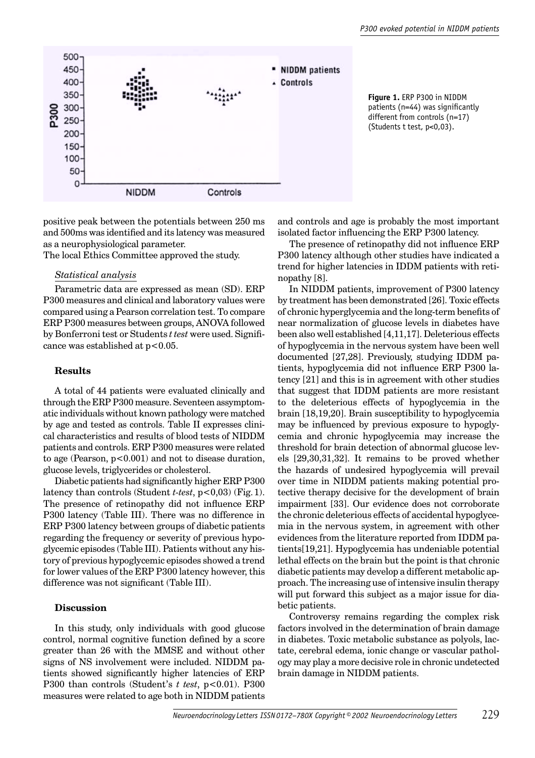**Figure 1.** ERP P300 in NIDDM patients ( $n=44$ ) was significantly different from controls (n=17) (Students t test, p<0,03).



positive peak between the potentials between 250 ms and 500ms was identified and its latency was measured as a neurophysiological parameter.

The local Ethics Committee approved the study.

### *Statistical analysis*

Parametric data are expressed as mean (SD). ERP P300 measures and clinical and laboratory values were compared using a Pearson correlation test. To compare ERP P300 measures between groups, ANOVA followed by Bonferroni test or Students *t test* were used. Significance was established at  $p < 0.05$ .

### **Results**

A total of 44 patients were evaluated clinically and through the ERP P300 measure. Seventeen assymptomatic individuals without known pathology were matched by age and tested as controls. Table II expresses clinical characteristics and results of blood tests of NIDDM patients and controls. ERP P300 measures were related to age (Pearson,  $p < 0.001$ ) and not to disease duration, glucose levels, triglycerides or cholesterol.

Diabetic patients had significantly higher ERP P300 latency than controls (Student *t-test*, p<0,03) (Fig. 1). The presence of retinopathy did not influence ERP P300 latency (Table III). There was no difference in ERP P300 latency between groups of diabetic patients regarding the frequency or severity of previous hypoglycemic episodes (Table III). Patients without any history of previous hypoglycemic episodes showed a trend for lower values of the ERP P300 latency however, this difference was not significant (Table III).

## **Discussion**

In this study, only individuals with good glucose control, normal cognitive function defined by a score greater than 26 with the MMSE and without other signs of NS involvement were included. NIDDM patients showed significantly higher latencies of ERP P300 than controls (Student's *t test*, p<0.01). P300 measures were related to age both in NIDDM patients

and controls and age is probably the most important isolated factor influencing the ERP P300 latency.

The presence of retinopathy did not influence ERP P300 latency although other studies have indicated a trend for higher latencies in IDDM patients with retinopathy [8].

In NIDDM patients, improvement of P300 latency by treatment has been demonstrated [26]. Toxic effects of chronic hyperglycemia and the long-term benefits of near normalization of glucose levels in diabetes have been also well established [4,11,17]. Deleterious effects of hypoglycemia in the nervous system have been well documented [27,28]. Previously, studying IDDM patients, hypoglycemia did not influence ERP P300 latency [21] and this is in agreement with other studies that suggest that IDDM patients are more resistant to the deleterious effects of hypoglycemia in the brain [18,19,20]. Brain susceptibility to hypoglycemia may be influenced by previous exposure to hypoglycemia and chronic hypoglycemia may increase the threshold for brain detection of abnormal glucose levels [29,30,31,32]. It remains to be proved whether the hazards of undesired hypoglycemia will prevail over time in NIDDM patients making potential protective therapy decisive for the development of brain impairment [33]. Our evidence does not corroborate the chronic deleterious effects of accidental hypoglycemia in the nervous system, in agreement with other evidences from the literature reported from IDDM patients[19,21]. Hypoglycemia has undeniable potential lethal effects on the brain but the point is that chronic diabetic patients may develop a different metabolic approach. The increasing use of intensive insulin therapy will put forward this subject as a major issue for diabetic patients.

Controversy remains regarding the complex risk factors involved in the determination of brain damage in diabetes. Toxic metabolic substance as polyols, lactate, cerebral edema, ionic change or vascular pathology may play a more decisive role in chronic undetected brain damage in NIDDM patients.